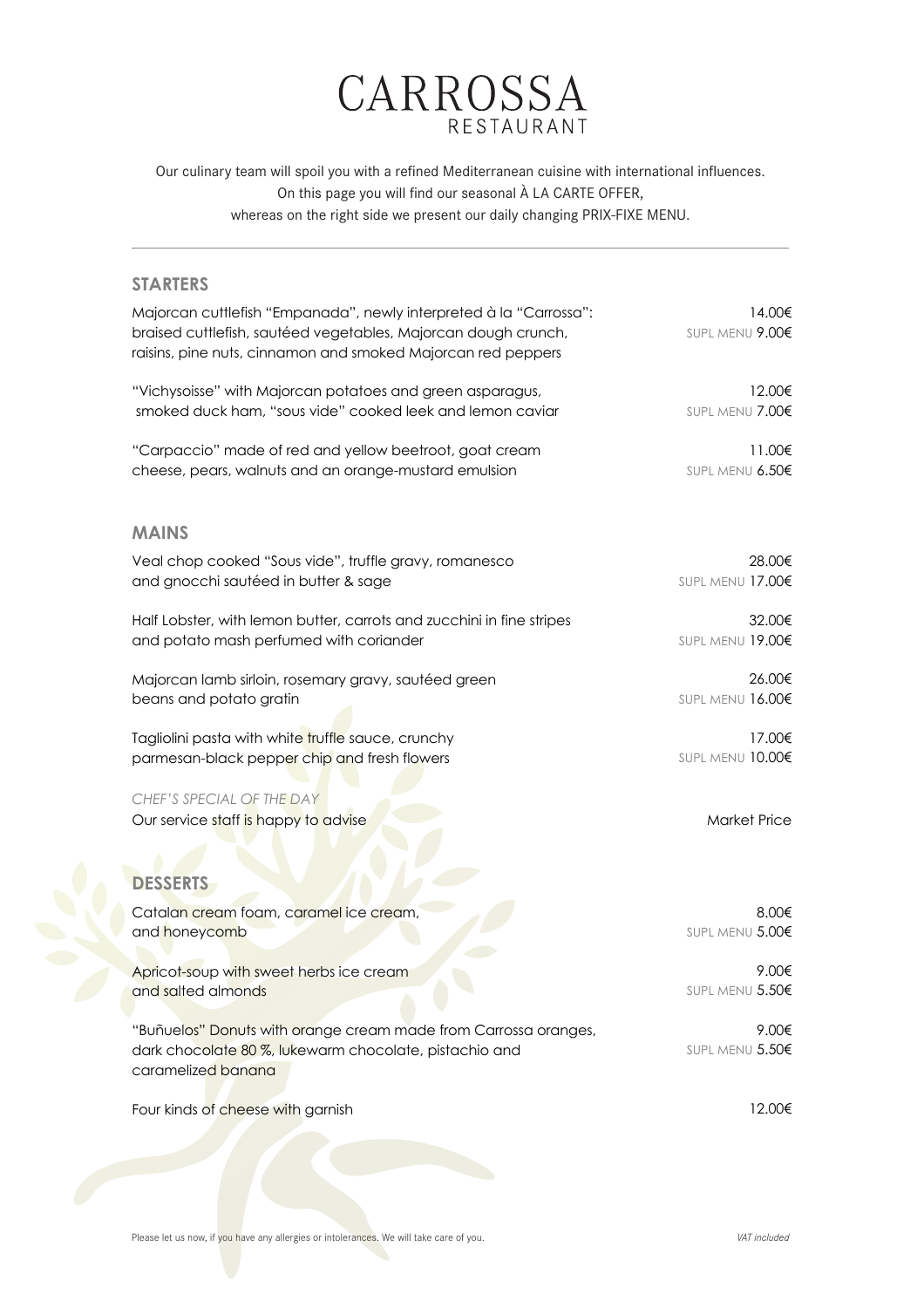

Our culinary team will spoil you with a refined Mediterranean cuisine with international influences. On this page you will find our seasonal À LA CARTE OFFER, whereas on the right side we present our daily changing PRIX-FIXE MENU.

## **STARTERS**

| Majorcan cuttlefish "Empanada", newly interpreted à la "Carrossa":<br>braised cuttlefish, sautéed vegetables, Majorcan dough crunch,<br>raisins, pine nuts, cinnamon and smoked Majorcan red peppers | 14.00€<br>SUPL MENU 9.00€ |
|------------------------------------------------------------------------------------------------------------------------------------------------------------------------------------------------------|---------------------------|
| "Vichysoisse" with Majorcan potatoes and green asparagus,                                                                                                                                            | 12.00€                    |
| smoked duck ham, "sous vide" cooked leek and lemon caviar                                                                                                                                            | SUPL MENU 7.00€           |
| "Carpaccio" made of red and yellow beetroot, goat cream                                                                                                                                              | 11.00€                    |
| cheese, pears, walnuts and an orange-mustard emulsion                                                                                                                                                | SUPL MENU 6.50€           |
| <b>MAINS</b>                                                                                                                                                                                         |                           |
| Veal chop cooked "Sous vide", truffle gravy, romanesco                                                                                                                                               | 28.00€                    |
| and gnocchi sautéed in butter & sage                                                                                                                                                                 | SUPL MENU 17.00€          |
| Half Lobster, with lemon butter, carrots and zucchini in fine stripes                                                                                                                                | 32.00€                    |
| and potato mash perfumed with coriander                                                                                                                                                              | SUPL MENU 19.00€          |
| Majorcan lamb sirloin, rosemary gravy, sautéed green                                                                                                                                                 | 26.00€                    |
| beans and potato gratin                                                                                                                                                                              | SUPL MENU 16.00€          |
| Tagliolini pasta with white truffle sauce, crunchy                                                                                                                                                   | 17.00€                    |
| parmesan-black pepper chip and fresh flowers                                                                                                                                                         | SUPL MENU 10.00€          |
| CHEF'S SPECIAL OF THE DAY<br>Our service staff is happy to advise                                                                                                                                    | <b>Market Price</b>       |
| <b>DESSERTS</b>                                                                                                                                                                                      |                           |
| Catalan cream foam, caramel ice cream,                                                                                                                                                               | 8.00€                     |
| and honeycomb                                                                                                                                                                                        | SUPL MENU 5.00€           |
| Apricot-soup with sweet herbs ice cream                                                                                                                                                              | 9.00€                     |
| and salted almonds                                                                                                                                                                                   | SUPL MENU 5.50€           |
| "Buñuelos" Donuts with orange cream made from Carrossa oranges,<br>dark chocolate 80 %, lukewarm chocolate, pistachio and<br>caramelized banana                                                      | 9.00€<br>SUPL MENU 5.50€  |
| Four kinds of cheese with garnish                                                                                                                                                                    | 12.00€                    |

Please let us now, if you have any allergies or intolerances. We will take care of you. *VAT included VAT included*